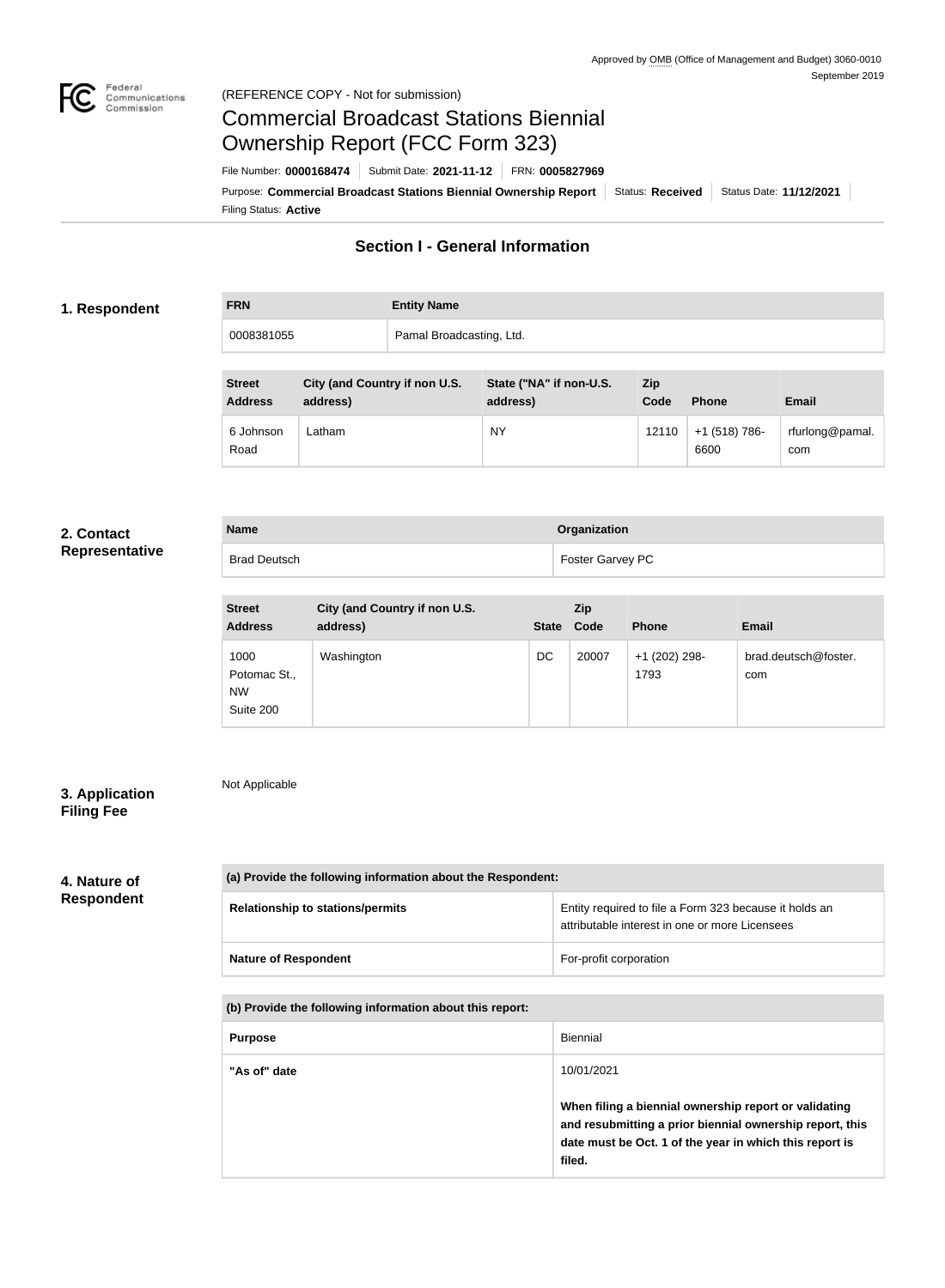

#### Federal<br>Communications<br>Commission (REFERENCE COPY - Not for submission)

# Commercial Broadcast Stations Biennial Ownership Report (FCC Form 323)

Filing Status: **Active** Purpose: Commercial Broadcast Stations Biennial Ownership Report Status: Received | Status Date: 11/12/2021 File Number: **0000168474** Submit Date: **2021-11-12** FRN: **0005827969**

# **Section I - General Information**

#### **1. Respondent**

| <b>FRN</b> | <b>Entity Name</b>       |
|------------|--------------------------|
| 0008381055 | Pamal Broadcasting, Ltd. |

| <b>Street</b><br><b>Address</b> | City (and Country if non U.S.<br>address) | State ("NA" if non-U.S.<br>address) | <b>Zip</b><br>Code | <b>Phone</b>          | <b>Email</b>           |
|---------------------------------|-------------------------------------------|-------------------------------------|--------------------|-----------------------|------------------------|
| 6 Johnson<br>Road               | _atham                                    | <b>NY</b>                           | 12110              | +1 (518) 786-<br>6600 | rfurlong@pamal.<br>com |

#### **2. Contact Representative**

| Representative |  |  |  |
|----------------|--|--|--|
|                |  |  |  |

| <b>Name</b>         | Organization     |
|---------------------|------------------|
| <b>Brad Deutsch</b> | Foster Garvey PC |
|                     |                  |
|                     |                  |

| <b>Street</b>                                  | City (and Country if non U.S. |              | Zip   |                       |                             |
|------------------------------------------------|-------------------------------|--------------|-------|-----------------------|-----------------------------|
| <b>Address</b>                                 | address)                      | <b>State</b> | Code  | <b>Phone</b>          | <b>Email</b>                |
| 1000<br>Potomac St.,<br><b>NW</b><br>Suite 200 | Washington                    | DC           | 20007 | +1 (202) 298-<br>1793 | brad.deutsch@foster.<br>com |

## **3. Application Filing Fee**

Not Applicable

# **4. Nature of Respondent**

| (a) Provide the following information about the Respondent: |                                                                                                          |  |  |
|-------------------------------------------------------------|----------------------------------------------------------------------------------------------------------|--|--|
| <b>Relationship to stations/permits</b>                     | Entity required to file a Form 323 because it holds an<br>attributable interest in one or more Licensees |  |  |
| <b>Nature of Respondent</b>                                 | For-profit corporation                                                                                   |  |  |

**(b) Provide the following information about this report:**

| <b>Purpose</b> | Biennial                                                                                                                                                                               |
|----------------|----------------------------------------------------------------------------------------------------------------------------------------------------------------------------------------|
| "As of" date   | 10/01/2021                                                                                                                                                                             |
|                | When filing a biennial ownership report or validating<br>and resubmitting a prior biennial ownership report, this<br>date must be Oct. 1 of the year in which this report is<br>filed. |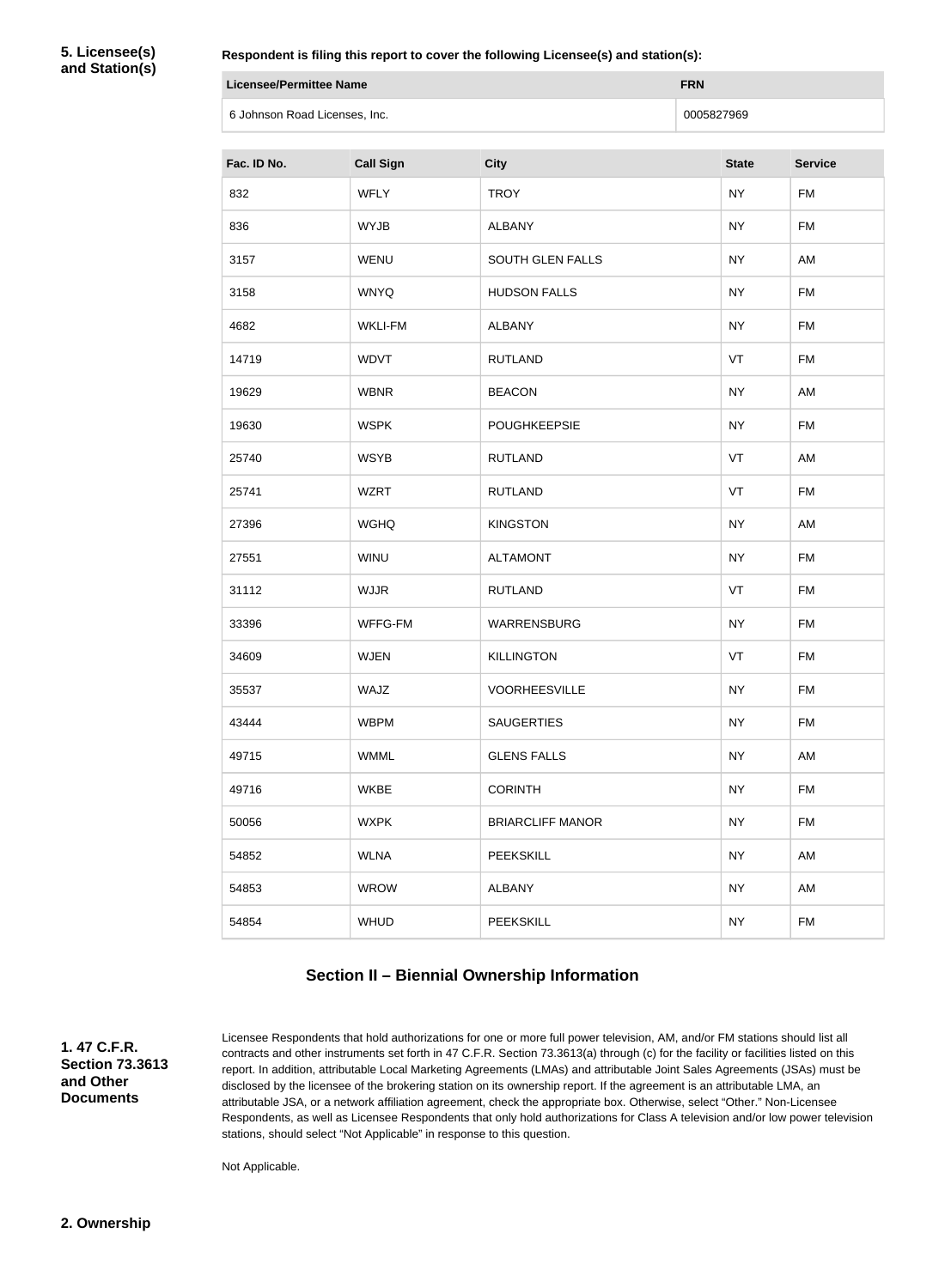**5. Licensee(s) and Station(s)**

| Licensee/Permittee Name       | <b>FRN</b> |
|-------------------------------|------------|
| 6 Johnson Road Licenses, Inc. | 0005827969 |

| Fac. ID No. | <b>Call Sign</b> | <b>City</b>             | <b>State</b> | <b>Service</b> |
|-------------|------------------|-------------------------|--------------|----------------|
| 832         | <b>WFLY</b>      | <b>TROY</b>             | <b>NY</b>    | <b>FM</b>      |
| 836         | <b>WYJB</b>      | <b>ALBANY</b>           | <b>NY</b>    | <b>FM</b>      |
| 3157        | <b>WENU</b>      | <b>SOUTH GLEN FALLS</b> | <b>NY</b>    | AM             |
| 3158        | <b>WNYQ</b>      | <b>HUDSON FALLS</b>     | <b>NY</b>    | <b>FM</b>      |
| 4682        | <b>WKLI-FM</b>   | <b>ALBANY</b>           | <b>NY</b>    | <b>FM</b>      |
| 14719       | <b>WDVT</b>      | <b>RUTLAND</b>          | VT           | <b>FM</b>      |
| 19629       | <b>WBNR</b>      | <b>BEACON</b>           | <b>NY</b>    | AM             |
| 19630       | <b>WSPK</b>      | <b>POUGHKEEPSIE</b>     | <b>NY</b>    | <b>FM</b>      |
| 25740       | <b>WSYB</b>      | <b>RUTLAND</b>          | VT           | AM             |
| 25741       | <b>WZRT</b>      | <b>RUTLAND</b>          | VT           | <b>FM</b>      |
| 27396       | <b>WGHQ</b>      | <b>KINGSTON</b>         | <b>NY</b>    | AM             |
| 27551       | <b>WINU</b>      | <b>ALTAMONT</b>         | <b>NY</b>    | <b>FM</b>      |
| 31112       | <b>WJJR</b>      | <b>RUTLAND</b>          | VT           | <b>FM</b>      |
| 33396       | WFFG-FM          | WARRENSBURG             | <b>NY</b>    | <b>FM</b>      |
| 34609       | <b>WJEN</b>      | <b>KILLINGTON</b>       | VT           | <b>FM</b>      |
| 35537       | WAJZ             | <b>VOORHEESVILLE</b>    | <b>NY</b>    | FM             |
| 43444       | <b>WBPM</b>      | <b>SAUGERTIES</b>       | <b>NY</b>    | <b>FM</b>      |
| 49715       | <b>WMML</b>      | <b>GLENS FALLS</b>      | <b>NY</b>    | AM             |
| 49716       | <b>WKBE</b>      | <b>CORINTH</b>          | <b>NY</b>    | <b>FM</b>      |
| 50056       | <b>WXPK</b>      | <b>BRIARCLIFF MANOR</b> | <b>NY</b>    | FM             |
| 54852       | <b>WLNA</b>      | <b>PEEKSKILL</b>        | <b>NY</b>    | AM             |
| 54853       | <b>WROW</b>      | <b>ALBANY</b>           | <b>NY</b>    | AM             |
| 54854       | <b>WHUD</b>      | PEEKSKILL               | <b>NY</b>    | <b>FM</b>      |

### **Section II – Biennial Ownership Information**

**1. 47 C.F.R. Section 73.3613 and Other Documents**

Licensee Respondents that hold authorizations for one or more full power television, AM, and/or FM stations should list all contracts and other instruments set forth in 47 C.F.R. Section 73.3613(a) through (c) for the facility or facilities listed on this report. In addition, attributable Local Marketing Agreements (LMAs) and attributable Joint Sales Agreements (JSAs) must be disclosed by the licensee of the brokering station on its ownership report. If the agreement is an attributable LMA, an attributable JSA, or a network affiliation agreement, check the appropriate box. Otherwise, select "Other." Non-Licensee Respondents, as well as Licensee Respondents that only hold authorizations for Class A television and/or low power television stations, should select "Not Applicable" in response to this question.

Not Applicable.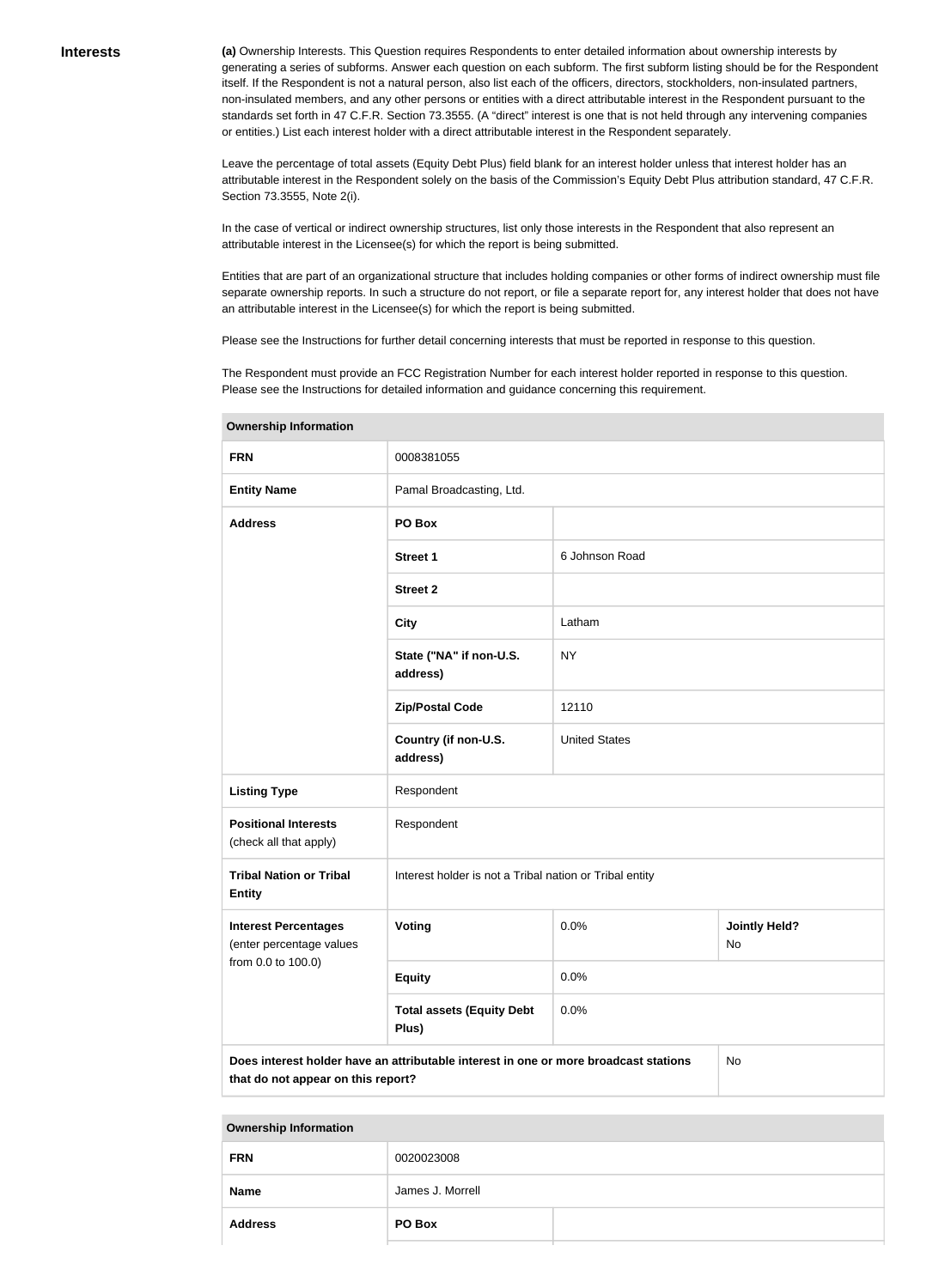**(a)** Ownership Interests. This Question requires Respondents to enter detailed information about ownership interests by generating a series of subforms. Answer each question on each subform. The first subform listing should be for the Respondent itself. If the Respondent is not a natural person, also list each of the officers, directors, stockholders, non-insulated partners, non-insulated members, and any other persons or entities with a direct attributable interest in the Respondent pursuant to the standards set forth in 47 C.F.R. Section 73.3555. (A "direct" interest is one that is not held through any intervening companies or entities.) List each interest holder with a direct attributable interest in the Respondent separately.

Leave the percentage of total assets (Equity Debt Plus) field blank for an interest holder unless that interest holder has an attributable interest in the Respondent solely on the basis of the Commission's Equity Debt Plus attribution standard, 47 C.F.R. Section 73.3555, Note 2(i).

In the case of vertical or indirect ownership structures, list only those interests in the Respondent that also represent an attributable interest in the Licensee(s) for which the report is being submitted.

Entities that are part of an organizational structure that includes holding companies or other forms of indirect ownership must file separate ownership reports. In such a structure do not report, or file a separate report for, any interest holder that does not have an attributable interest in the Licensee(s) for which the report is being submitted.

Please see the Instructions for further detail concerning interests that must be reported in response to this question.

The Respondent must provide an FCC Registration Number for each interest holder reported in response to this question. Please see the Instructions for detailed information and guidance concerning this requirement.

| <b>FRN</b>                                                                | 0008381055                                                                           |                            |    |  |
|---------------------------------------------------------------------------|--------------------------------------------------------------------------------------|----------------------------|----|--|
| <b>Entity Name</b>                                                        | Pamal Broadcasting, Ltd.                                                             |                            |    |  |
| <b>Address</b>                                                            | PO Box                                                                               |                            |    |  |
|                                                                           | <b>Street 1</b>                                                                      | 6 Johnson Road             |    |  |
|                                                                           | <b>Street 2</b>                                                                      |                            |    |  |
|                                                                           | <b>City</b>                                                                          | Latham                     |    |  |
|                                                                           | State ("NA" if non-U.S.<br>address)                                                  | <b>NY</b>                  |    |  |
|                                                                           | <b>Zip/Postal Code</b>                                                               | 12110                      |    |  |
|                                                                           | Country (if non-U.S.<br>address)                                                     | <b>United States</b>       |    |  |
| <b>Listing Type</b>                                                       | Respondent                                                                           |                            |    |  |
| <b>Positional Interests</b><br>(check all that apply)                     | Respondent                                                                           |                            |    |  |
| <b>Tribal Nation or Tribal</b><br><b>Entity</b>                           | Interest holder is not a Tribal nation or Tribal entity                              |                            |    |  |
| <b>Interest Percentages</b><br>Voting<br>0.0%<br>(enter percentage values |                                                                                      | <b>Jointly Held?</b><br>No |    |  |
| from 0.0 to 100.0)                                                        | <b>Equity</b>                                                                        | 0.0%                       |    |  |
|                                                                           | <b>Total assets (Equity Debt</b><br>Plus)                                            | 0.0%                       |    |  |
| that do not appear on this report?                                        | Does interest holder have an attributable interest in one or more broadcast stations |                            | No |  |

**Ownership Information**

#### **Ownership Information**

| <b>FRN</b>     | 0020023008       |  |
|----------------|------------------|--|
| <b>Name</b>    | James J. Morrell |  |
| <b>Address</b> | PO Box           |  |
|                |                  |  |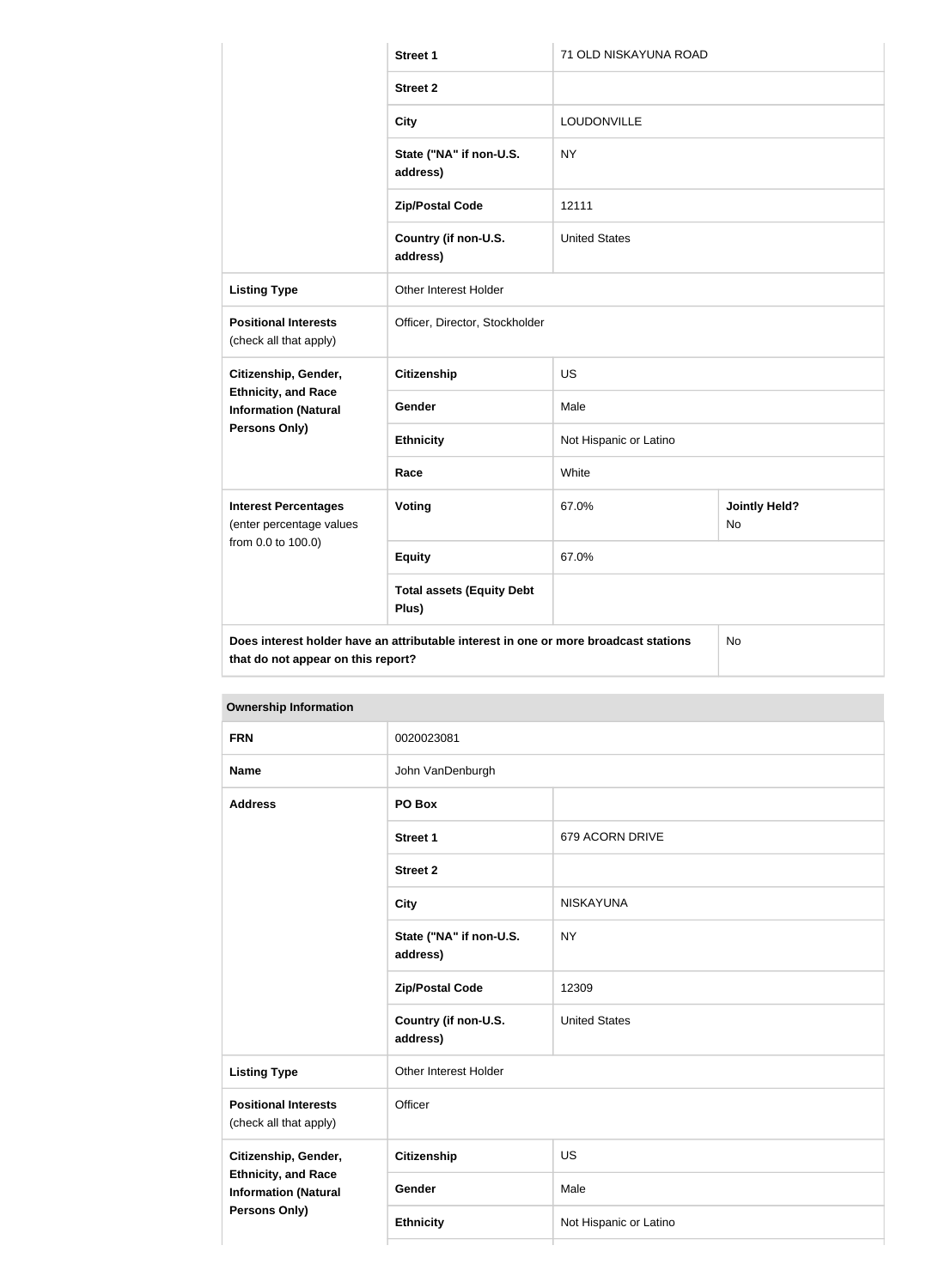|                                                           | <b>Street 1</b>                                                                      | 71 OLD NISKAYUNA ROAD  |                            |  |
|-----------------------------------------------------------|--------------------------------------------------------------------------------------|------------------------|----------------------------|--|
|                                                           | <b>Street 2</b>                                                                      |                        |                            |  |
|                                                           | <b>City</b>                                                                          | LOUDONVILLE            |                            |  |
|                                                           | State ("NA" if non-U.S.<br>address)                                                  | <b>NY</b>              |                            |  |
|                                                           | <b>Zip/Postal Code</b>                                                               | 12111                  |                            |  |
|                                                           | Country (if non-U.S.<br>address)                                                     | <b>United States</b>   |                            |  |
| <b>Listing Type</b>                                       | Other Interest Holder                                                                |                        |                            |  |
| <b>Positional Interests</b><br>(check all that apply)     | Officer, Director, Stockholder                                                       |                        |                            |  |
| Citizenship, Gender,                                      | <b>Citizenship</b>                                                                   | US                     |                            |  |
| <b>Ethnicity, and Race</b><br><b>Information (Natural</b> | Gender                                                                               | Male                   |                            |  |
| <b>Persons Only)</b>                                      | <b>Ethnicity</b>                                                                     | Not Hispanic or Latino |                            |  |
|                                                           | Race                                                                                 | White                  |                            |  |
| <b>Interest Percentages</b><br>(enter percentage values   | <b>Voting</b>                                                                        | 67.0%                  | <b>Jointly Held?</b><br>No |  |
| from 0.0 to 100.0)                                        | <b>Equity</b>                                                                        | 67.0%                  |                            |  |
|                                                           | <b>Total assets (Equity Debt</b><br>Plus)                                            |                        |                            |  |
| that do not appear on this report?                        | Does interest holder have an attributable interest in one or more broadcast stations |                        | No                         |  |

| <b>FRN</b>                                                                                         | 0020023081                          |                        |  |  |
|----------------------------------------------------------------------------------------------------|-------------------------------------|------------------------|--|--|
| <b>Name</b>                                                                                        | John VanDenburgh                    |                        |  |  |
| <b>Address</b>                                                                                     | PO Box                              |                        |  |  |
|                                                                                                    | <b>Street 1</b>                     | 679 ACORN DRIVE        |  |  |
|                                                                                                    | <b>Street 2</b>                     |                        |  |  |
|                                                                                                    | <b>City</b>                         | <b>NISKAYUNA</b>       |  |  |
|                                                                                                    | State ("NA" if non-U.S.<br>address) | <b>NY</b>              |  |  |
|                                                                                                    | <b>Zip/Postal Code</b>              | 12309                  |  |  |
|                                                                                                    | Country (if non-U.S.<br>address)    | <b>United States</b>   |  |  |
| <b>Listing Type</b>                                                                                | Other Interest Holder               |                        |  |  |
| <b>Positional Interests</b><br>(check all that apply)                                              | Officer                             |                        |  |  |
| Citizenship, Gender,<br><b>Ethnicity, and Race</b><br><b>Information (Natural</b><br>Persons Only) | <b>Citizenship</b>                  | US                     |  |  |
|                                                                                                    | Gender                              | Male                   |  |  |
|                                                                                                    | <b>Ethnicity</b>                    | Not Hispanic or Latino |  |  |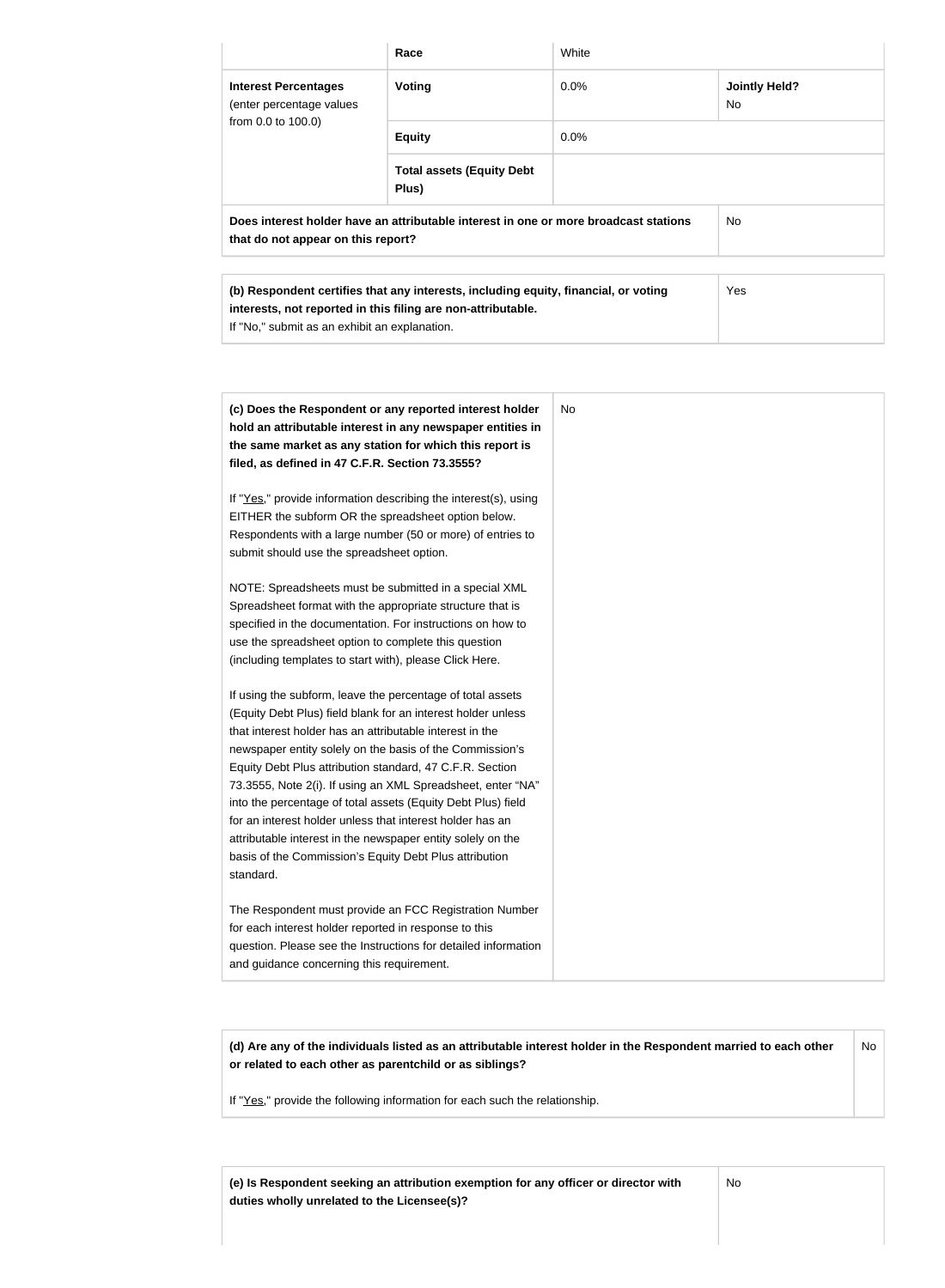|                                                                                                                                                                                                      | Race                                                                                                                  | White     |                            |
|------------------------------------------------------------------------------------------------------------------------------------------------------------------------------------------------------|-----------------------------------------------------------------------------------------------------------------------|-----------|----------------------------|
| <b>Interest Percentages</b><br>(enter percentage values<br>from 0.0 to 100.0)                                                                                                                        | Voting                                                                                                                | 0.0%      | <b>Jointly Held?</b><br>No |
|                                                                                                                                                                                                      | <b>Equity</b>                                                                                                         | 0.0%      |                            |
|                                                                                                                                                                                                      | <b>Total assets (Equity Debt</b><br>Plus)                                                                             |           |                            |
| that do not appear on this report?                                                                                                                                                                   | Does interest holder have an attributable interest in one or more broadcast stations                                  |           | <b>No</b>                  |
| (b) Respondent certifies that any interests, including equity, financial, or voting<br>interests, not reported in this filing are non-attributable.<br>If "No," submit as an exhibit an explanation. |                                                                                                                       |           | Yes                        |
|                                                                                                                                                                                                      | (c) Does the Respondent or any reported interest holder<br>hold an attributable interest in any newspaper entities in | <b>No</b> |                            |
| filed, as defined in 47 C.F.R. Section 73.3555?                                                                                                                                                      | the same market as any station for which this report is                                                               |           |                            |
|                                                                                                                                                                                                      | If "Yes," provide information describing the interest(s), using                                                       |           |                            |
| EITHER the subform OR the spreadsheet option below.<br>Respondents with a large number (50 or more) of entries to                                                                                    |                                                                                                                       |           |                            |
| submit should use the spreadsheet option.                                                                                                                                                            |                                                                                                                       |           |                            |
|                                                                                                                                                                                                      | NOTE: Spreadsheets must be submitted in a special XML                                                                 |           |                            |
|                                                                                                                                                                                                      |                                                                                                                       |           |                            |
|                                                                                                                                                                                                      | Spreadsheet format with the appropriate structure that is                                                             |           |                            |
|                                                                                                                                                                                                      | specified in the documentation. For instructions on how to                                                            |           |                            |
|                                                                                                                                                                                                      |                                                                                                                       |           |                            |
| use the spreadsheet option to complete this question<br>(including templates to start with), please Click Here.                                                                                      | If using the subform, leave the percentage of total assets                                                            |           |                            |
|                                                                                                                                                                                                      | (Equity Debt Plus) field blank for an interest holder unless                                                          |           |                            |
| that interest holder has an attributable interest in the                                                                                                                                             |                                                                                                                       |           |                            |
|                                                                                                                                                                                                      | newspaper entity solely on the basis of the Commission's                                                              |           |                            |
|                                                                                                                                                                                                      | 73.3555, Note 2(i). If using an XML Spreadsheet, enter "NA"                                                           |           |                            |
|                                                                                                                                                                                                      | into the percentage of total assets (Equity Debt Plus) field                                                          |           |                            |
| Equity Debt Plus attribution standard, 47 C.F.R. Section<br>for an interest holder unless that interest holder has an                                                                                | attributable interest in the newspaper entity solely on the                                                           |           |                            |

The Respondent must provide an FCC Registration Number for each interest holder reported in response to this question. Please see the Instructions for detailed information and guidance concerning this requirement.

standard.

**(d) Are any of the individuals listed as an attributable interest holder in the Respondent married to each other or related to each other as parentchild or as siblings?** No

If "Yes," provide the following information for each such the relationship.

**(e) Is Respondent seeking an attribution exemption for any officer or director with duties wholly unrelated to the Licensee(s)?**